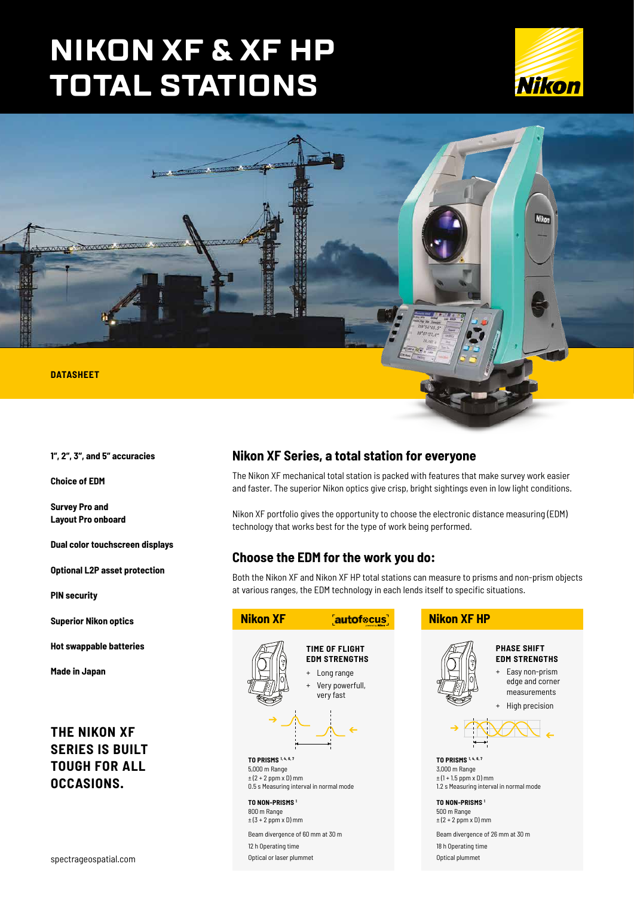# **NIKON XF & XF HP TOTAL STATIONS**





**1", 2", 3", and 5" accuracies**

**Choice of EDM**

**Survey Pro and Layout Pro onboard**

**Dual color touchscreen displays**

**Optional L2P asset protection**

**PIN security**

**Superior Nikon optics**

**Hot swappable batteries**

**Made in Japan**

# **THE NIKON XF SERIES IS BUILT TOUGH FOR ALL OCCASIONS.**

spectrageospatial.com

# **Nikon XF Series, a total station for everyone**

The Nikon XF mechanical total station is packed with features that make survey work easier and faster. The superior Nikon optics give crisp, bright sightings even in low light conditions.

Nikon XF portfolio gives the opportunity to choose the electronic distance measuring (EDM) technology that works best for the type of work being performed.

# **Choose the EDM for the work you do:**

Both the Nikon XF and Nikon XF HP total stations can measure to prisms and non-prism objects at various ranges, the EDM technology in each lends itself to specific situations.

| <b>Nikon XF</b>                                                                                                                                                                                                                                                              | autofocus                                                                                                      | <b>Nikon XF HP</b>                                                                                                                                                                                                         |                                                                                                                                  |
|------------------------------------------------------------------------------------------------------------------------------------------------------------------------------------------------------------------------------------------------------------------------------|----------------------------------------------------------------------------------------------------------------|----------------------------------------------------------------------------------------------------------------------------------------------------------------------------------------------------------------------------|----------------------------------------------------------------------------------------------------------------------------------|
|                                                                                                                                                                                                                                                                              | TIME OF FLIGHT<br><b>EDM STRENGTHS</b><br>Long range<br>$\ddot{}$<br>Very powerfull,<br>$\ddot{}$<br>very fast |                                                                                                                                                                                                                            | <b>PHASE SHIFT</b><br><b>EDM STRENGTHS</b><br>+ Easy non-prism<br>edge and corner<br>measurements<br>High precision<br>$\ddot{}$ |
| TO PRISMS 1, 4, 6, 7<br>5,000 m Range<br>$\pm$ (2 + 2 ppm x D) mm<br>0.5 s Measuring interval in normal mode<br>TO NON-PRISMS <sup>1</sup><br>800 m Range<br>$\pm$ (3 + 2 ppm x D) mm<br>Beam divergence of 60 mm at 30 m<br>12 h Operating time<br>Optical or laser plummet |                                                                                                                | TO PRISMS 1, 4, 6, 7<br>3,000 m Range<br>$\pm$ (1 + 1.5 ppm x D) mm<br>TO NON-PRISMS <sup>1</sup><br>500 m Range<br>$\pm$ (2 + 2 ppm x D) mm<br>Beam divergence of 26 mm at 30 m<br>18 h Operating time<br>Optical plummet | 1.2 s Measuring interval in normal mode                                                                                          |